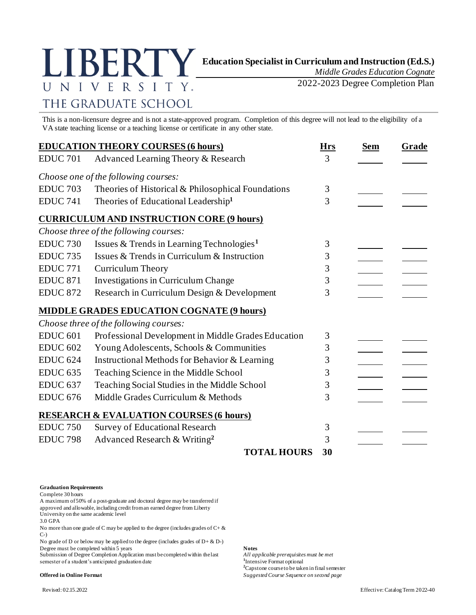

*Middle Grades Education Cognate*

2022-2023 Degree Completion Plan

## This is a non-licensure degree and is not a state-approved program. Completion of this degree will not lead to the eligibility of a VA state teaching license or a teaching license or certificate in any other state.

|                 | <b>EDUCATION THEORY COURSES (6 hours)</b>             | <b>Hrs</b> | <b>Sem</b> | Grade |
|-----------------|-------------------------------------------------------|------------|------------|-------|
| <b>EDUC 701</b> | Advanced Learning Theory & Research                   | 3          |            |       |
|                 | Choose one of the following courses:                  |            |            |       |
| <b>EDUC 703</b> | Theories of Historical & Philosophical Foundations    | 3          |            |       |
| <b>EDUC 741</b> | Theories of Educational Leadership <sup>1</sup>       | 3          |            |       |
|                 | <b>CURRICULUM AND INSTRUCTION CORE (9 hours)</b>      |            |            |       |
|                 | Choose three of the following courses:                |            |            |       |
| <b>EDUC 730</b> | Issues & Trends in Learning Technologies <sup>1</sup> | 3          |            |       |
| <b>EDUC 735</b> | Issues & Trends in Curriculum & Instruction           | 3          |            |       |
| <b>EDUC 771</b> | <b>Curriculum Theory</b>                              | 3          |            |       |
| <b>EDUC 871</b> | Investigations in Curriculum Change                   | 3          |            |       |
| <b>EDUC 872</b> | Research in Curriculum Design & Development           | 3          |            |       |
|                 | <b>MIDDLE GRADES EDUCATION COGNATE (9 hours)</b>      |            |            |       |
|                 | Choose three of the following courses:                |            |            |       |
| <b>EDUC 601</b> | Professional Development in Middle Grades Education   | 3          |            |       |
| <b>EDUC 602</b> | Young Adolescents, Schools & Communities              | 3          |            |       |
| <b>EDUC 624</b> | Instructional Methods for Behavior & Learning         | 3          |            |       |
| <b>EDUC 635</b> | Teaching Science in the Middle School                 | 3          |            |       |
| <b>EDUC 637</b> | Teaching Social Studies in the Middle School          | 3          |            |       |
| <b>EDUC 676</b> | Middle Grades Curriculum & Methods                    | 3          |            |       |
|                 | <b>RESEARCH &amp; EVALUATION COURSES (6 hours)</b>    |            |            |       |
| <b>EDUC 750</b> | Survey of Educational Research                        | 3          |            |       |
| <b>EDUC 798</b> | Advanced Research & Writing <sup>2</sup>              | 3          |            |       |
|                 | <b>TOTAL HOURS</b>                                    | 30         |            |       |

## **Graduation Requirements**

Complete 30 hours

A maximum of 50% of a post-graduate and doctoral degree may be transferred if approved and allowable, including credit from an earned degree from Liberty University on the same academic level

3.0 GPA

No more than one grade of C may be applied to the degree (includes grades of C+ & C-)

No grade of D or below may be applied to the degree (includes grades of  $D + \& D$ -) Degree must be completed within 5 years **Notes**<br>Submission of Degree Completion Application must be completed within the last *All applicable prerequisites must be met* 

Submission of Degree Completion Application must be completed within the last semester of a student's anticipated graduation date

<sup>1</sup>Intensive Format optional **<sup>2</sup>**Capstone course to be taken in final semester **Offered in Online Format** *Suggested Course Sequence on second page*